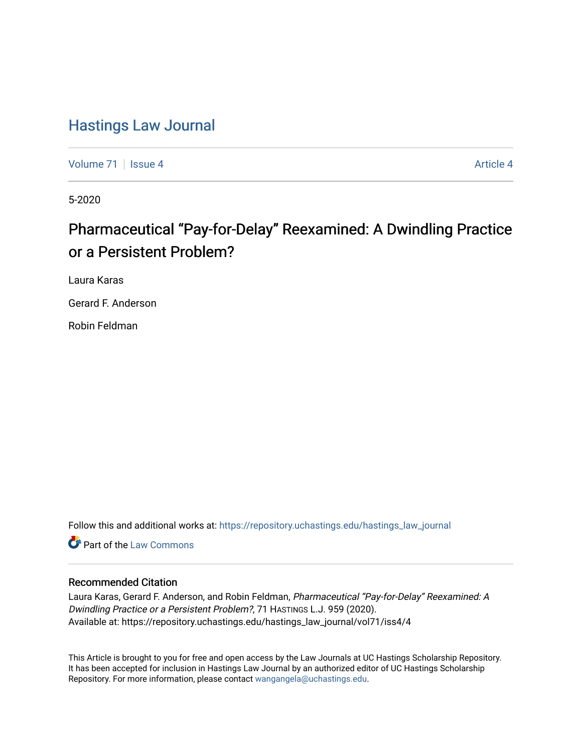## [Hastings Law Journal](https://repository.uchastings.edu/hastings_law_journal)

[Volume 71](https://repository.uchastings.edu/hastings_law_journal/vol71) | [Issue 4](https://repository.uchastings.edu/hastings_law_journal/vol71/iss4) [Article 4](https://repository.uchastings.edu/hastings_law_journal/vol71/iss4/4) Article 4 Article 4 Article 4 Article 4 Article 4 Article 4 Article 4 Article 4

5-2020

# Pharmaceutical "Pay-for-Delay" Reexamined: A Dwindling Practice or a Persistent Problem?

Laura Karas

Gerard F. Anderson

Robin Feldman

Follow this and additional works at: [https://repository.uchastings.edu/hastings\\_law\\_journal](https://repository.uchastings.edu/hastings_law_journal?utm_source=repository.uchastings.edu%2Fhastings_law_journal%2Fvol71%2Fiss4%2F4&utm_medium=PDF&utm_campaign=PDFCoverPages) 

**C** Part of the [Law Commons](http://network.bepress.com/hgg/discipline/578?utm_source=repository.uchastings.edu%2Fhastings_law_journal%2Fvol71%2Fiss4%2F4&utm_medium=PDF&utm_campaign=PDFCoverPages)

### Recommended Citation

Laura Karas, Gerard F. Anderson, and Robin Feldman, Pharmaceutical "Pay-for-Delay" Reexamined: A Dwindling Practice or a Persistent Problem?, 71 HASTINGS L.J. 959 (2020). Available at: https://repository.uchastings.edu/hastings\_law\_journal/vol71/iss4/4

This Article is brought to you for free and open access by the Law Journals at UC Hastings Scholarship Repository. It has been accepted for inclusion in Hastings Law Journal by an authorized editor of UC Hastings Scholarship Repository. For more information, please contact [wangangela@uchastings.edu](mailto:wangangela@uchastings.edu).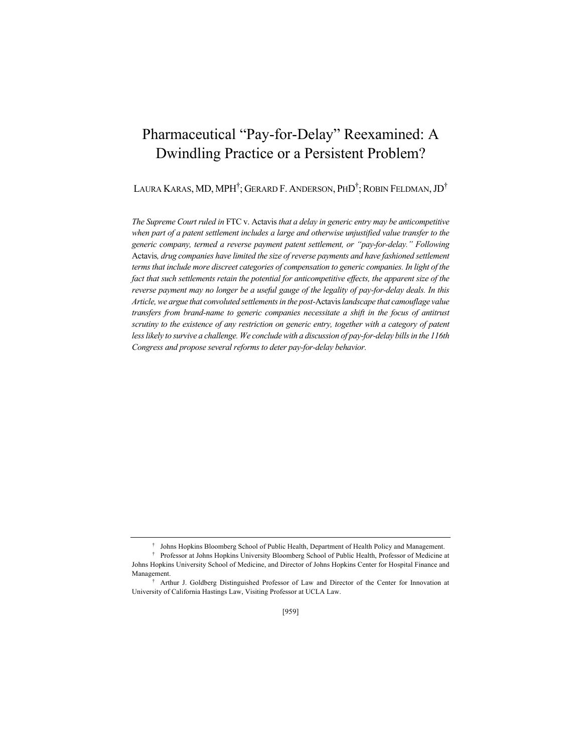## Pharmaceutical "Pay-for-Delay" Reexamined: A Dwindling Practice or a Persistent Problem?

Laura Karas, MD, MPH<sup>†</sup>; Gerard F. Anderson, PhD<sup>†</sup>; Robin Feldman, JD<sup>†</sup>

*The Supreme Court ruled in* FTC v. Actavis *that a delay in generic entry may be anticompetitive when part of a patent settlement includes a large and otherwise unjustified value transfer to the generic company, termed a reverse payment patent settlement, or "pay-for-delay." Following*  Actavis*, drug companies have limited the size of reverse payments and have fashioned settlement terms that include more discreet categories of compensation to generic companies. In light of the fact that such settlements retain the potential for anticompetitive effects, the apparent size of the reverse payment may no longer be a useful gauge of the legality of pay-for-delay deals. In this Article, we argue that convoluted settlements in the post-*Actavis*landscape that camouflage value transfers from brand-name to generic companies necessitate a shift in the focus of antitrust scrutiny to the existence of any restriction on generic entry, together with a category of patent less likely to survive a challenge. We conclude with a discussion of pay-for-delay bills in the 116th Congress and propose several reforms to deter pay-for-delay behavior.* 

<sup>†</sup> Johns Hopkins Bloomberg School of Public Health, Department of Health Policy and Management.

<sup>†</sup> Professor at Johns Hopkins University Bloomberg School of Public Health, Professor of Medicine at Johns Hopkins University School of Medicine, and Director of Johns Hopkins Center for Hospital Finance and Management.

<sup>†</sup> Arthur J. Goldberg Distinguished Professor of Law and Director of the Center for Innovation at University of California Hastings Law, Visiting Professor at UCLA Law.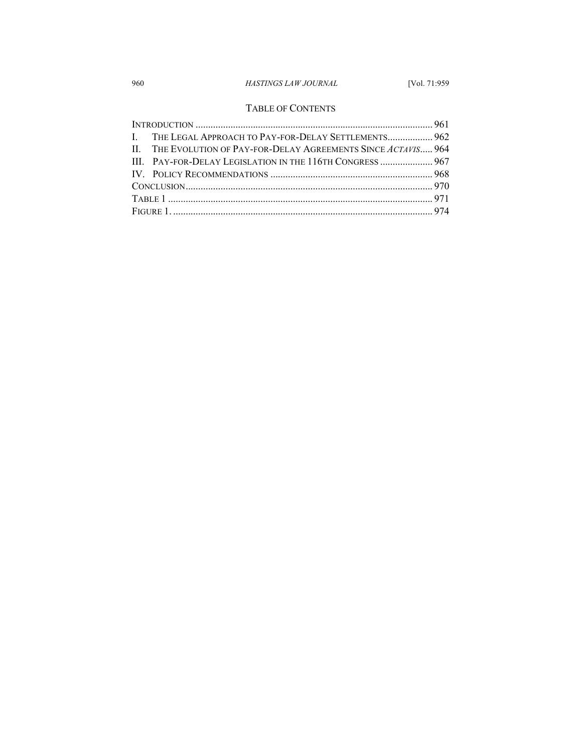## 960 *HASTINGS LAW JOURNAL* [Vol. 71:959

### TABLE OF CONTENTS

|  | I. THE LEGAL APPROACH TO PAY-FOR-DELAY SETTLEMENTS 962          |  |
|--|-----------------------------------------------------------------|--|
|  | II. THE EVOLUTION OF PAY-FOR-DELAY AGREEMENTS SINCE ACTAVIS 964 |  |
|  | III. PAY-FOR-DELAY LEGISLATION IN THE 116TH CONGRESS  967       |  |
|  |                                                                 |  |
|  |                                                                 |  |
|  |                                                                 |  |
|  |                                                                 |  |
|  |                                                                 |  |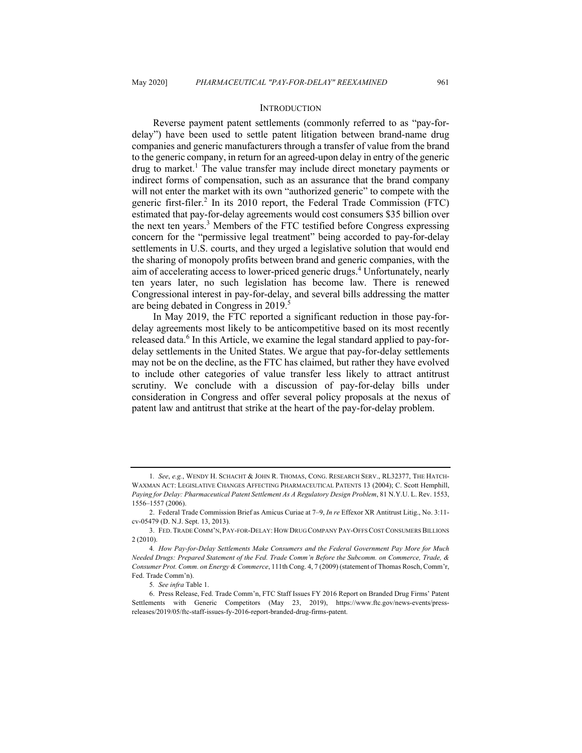#### **INTRODUCTION**

Reverse payment patent settlements (commonly referred to as "pay-fordelay") have been used to settle patent litigation between brand-name drug companies and generic manufacturers through a transfer of value from the brand to the generic company, in return for an agreed-upon delay in entry of the generic drug to market.<sup>1</sup> The value transfer may include direct monetary payments or indirect forms of compensation, such as an assurance that the brand company will not enter the market with its own "authorized generic" to compete with the generic first-filer.<sup>2</sup> In its 2010 report, the Federal Trade Commission (FTC) estimated that pay-for-delay agreements would cost consumers \$35 billion over the next ten years.<sup>3</sup> Members of the FTC testified before Congress expressing concern for the "permissive legal treatment" being accorded to pay-for-delay settlements in U.S. courts, and they urged a legislative solution that would end the sharing of monopoly profits between brand and generic companies, with the aim of accelerating access to lower-priced generic drugs.<sup>4</sup> Unfortunately, nearly ten years later, no such legislation has become law. There is renewed Congressional interest in pay-for-delay, and several bills addressing the matter are being debated in Congress in 2019. 5

In May 2019, the FTC reported a significant reduction in those pay-fordelay agreements most likely to be anticompetitive based on its most recently released data. $6$  In this Article, we examine the legal standard applied to pay-fordelay settlements in the United States. We argue that pay-for-delay settlements may not be on the decline, as the FTC has claimed, but rather they have evolved to include other categories of value transfer less likely to attract antitrust scrutiny. We conclude with a discussion of pay-for-delay bills under consideration in Congress and offer several policy proposals at the nexus of patent law and antitrust that strike at the heart of the pay-for-delay problem.

<sup>1</sup>*. See*, *e.g.*, WENDY H. SCHACHT & JOHN R. THOMAS, CONG. RESEARCH SERV., RL32377, THE HATCH-WAXMAN ACT: LEGISLATIVE CHANGES AFFECTING PHARMACEUTICAL PATENTS 13 (2004); C. Scott Hemphill, *Paying for Delay: Pharmaceutical Patent Settlement As A Regulatory Design Problem*, 81 N.Y.U. L. Rev. 1553, 1556–1557 (2006).

<sup>2.</sup> Federal Trade Commission Brief as Amicus Curiae at 7–9, *In re* Effexor XR Antitrust Litig., No. 3:11 cv-05479 (D. N.J. Sept. 13, 2013).

<sup>3.</sup> FED. TRADE COMM'N, PAY-FOR-DELAY: HOW DRUG COMPANY PAY-OFFS COST CONSUMERS BILLIONS 2 (2010).

<sup>4</sup>*. How Pay-for-Delay Settlements Make Consumers and the Federal Government Pay More for Much Needed Drugs: Prepared Statement of the Fed. Trade Comm'n Before the Subcomm. on Commerce, Trade, & Consumer Prot. Comm. on Energy & Commerce*, 111th Cong. 4, 7 (2009) (statement of Thomas Rosch, Comm'r, Fed. Trade Comm'n).

<sup>5</sup>*. See infra* Table 1.

<sup>6.</sup> Press Release, Fed. Trade Comm'n, FTC Staff Issues FY 2016 Report on Branded Drug Firms' Patent Settlements with Generic Competitors (May 23, 2019), https://www.ftc.gov/news-events/pressreleases/2019/05/ftc-staff-issues-fy-2016-report-branded-drug-firms-patent.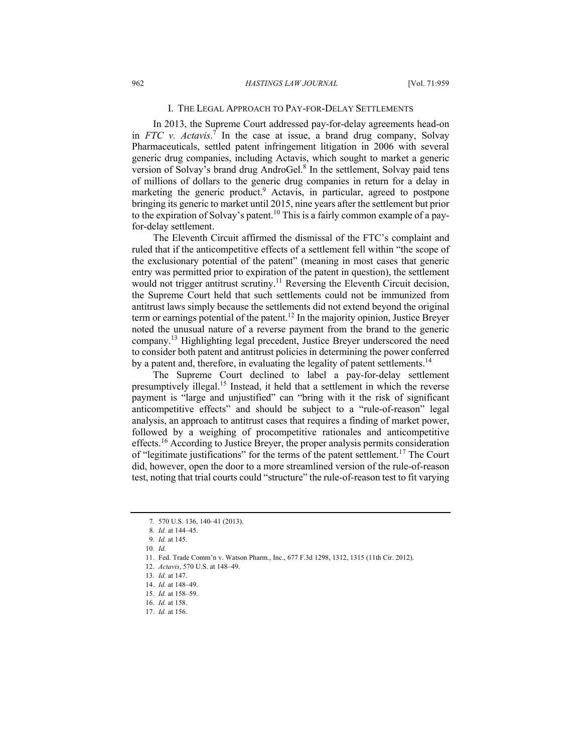#### I. THE LEGAL APPROACH TO PAY-FOR-DELAY SETTLEMENTS

In 2013, the Supreme Court addressed pay-for-delay agreements head-on in *FTC v. Actavis*. <sup>7</sup> In the case at issue, a brand drug company, Solvay Pharmaceuticals, settled patent infringement litigation in 2006 with several generic drug companies, including Actavis, which sought to market a generic version of Solvay's brand drug AndroGel.<sup>8</sup> In the settlement, Solvay paid tens of millions of dollars to the generic drug companies in return for a delay in marketing the generic product.<sup>9</sup> Actavis, in particular, agreed to postpone bringing its generic to market until 2015, nine years after the settlement but prior to the expiration of Solvay's patent.<sup>10</sup> This is a fairly common example of a payfor-delay settlement.

The Eleventh Circuit affirmed the dismissal of the FTC's complaint and ruled that if the anticompetitive effects of a settlement fell within "the scope of the exclusionary potential of the patent" (meaning in most cases that generic entry was permitted prior to expiration of the patent in question), the settlement would not trigger antitrust scrutiny.<sup>11</sup> Reversing the Eleventh Circuit decision, the Supreme Court held that such settlements could not be immunized from antitrust laws simply because the settlements did not extend beyond the original term or earnings potential of the patent.<sup>12</sup> In the majority opinion, Justice Breyer noted the unusual nature of a reverse payment from the brand to the generic company.13 Highlighting legal precedent, Justice Breyer underscored the need to consider both patent and antitrust policies in determining the power conferred by a patent and, therefore, in evaluating the legality of patent settlements.<sup>14</sup>

The Supreme Court declined to label a pay-for-delay settlement presumptively illegal.<sup>15</sup> Instead, it held that a settlement in which the reverse payment is "large and unjustified" can "bring with it the risk of significant anticompetitive effects" and should be subject to a "rule-of-reason" legal analysis, an approach to antitrust cases that requires a finding of market power, followed by a weighing of procompetitive rationales and anticompetitive effects.<sup>16</sup> According to Justice Breyer, the proper analysis permits consideration of "legitimate justifications" for the terms of the patent settlement.<sup>17</sup> The Court did, however, open the door to a more streamlined version of the rule-of-reason test, noting that trial courts could "structure" the rule-of-reason test to fit varying

<sup>7</sup>*.* 570 U.S. 136, 140–41 (2013).

<sup>8</sup>*. Id.* at 144–45.

<sup>9</sup>*. Id.* at 145.

<sup>10</sup>*. Id.* 

<sup>11.</sup> Fed. Trade Comm'n v. Watson Pharm., Inc., 677 F.3d 1298, 1312, 1315 (11th Cir. 2012).

<sup>12.</sup> *Actavis*, 570 U.S. at 148–49.

<sup>13</sup>*. Id.* at 147.

<sup>14.</sup> *Id.* at 148–49.

<sup>15.</sup> *Id.* at 158–59.

<sup>16.</sup> *Id.* at 158.

<sup>17.</sup> *Id.* at 156.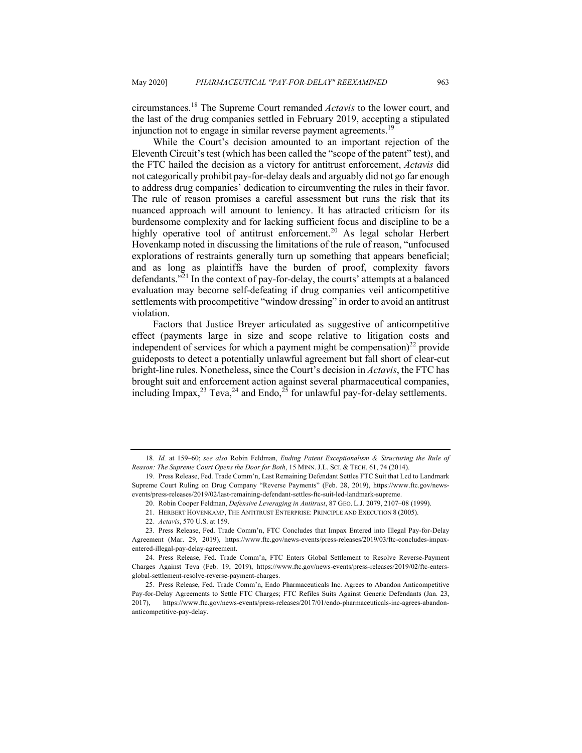circumstances.<sup>18</sup> The Supreme Court remanded *Actavis* to the lower court, and the last of the drug companies settled in February 2019, accepting a stipulated injunction not to engage in similar reverse payment agreements.<sup>19</sup>

While the Court's decision amounted to an important rejection of the Eleventh Circuit's test (which has been called the "scope of the patent" test), and the FTC hailed the decision as a victory for antitrust enforcement, *Actavis* did not categorically prohibit pay-for-delay deals and arguably did not go far enough to address drug companies' dedication to circumventing the rules in their favor. The rule of reason promises a careful assessment but runs the risk that its nuanced approach will amount to leniency. It has attracted criticism for its burdensome complexity and for lacking sufficient focus and discipline to be a highly operative tool of antitrust enforcement.<sup>20</sup> As legal scholar Herbert Hovenkamp noted in discussing the limitations of the rule of reason, "unfocused explorations of restraints generally turn up something that appears beneficial; and as long as plaintiffs have the burden of proof, complexity favors defendants."<sup>21</sup> In the context of pay-for-delay, the courts' attempts at a balanced evaluation may become self-defeating if drug companies veil anticompetitive settlements with procompetitive "window dressing" in order to avoid an antitrust violation.

Factors that Justice Breyer articulated as suggestive of anticompetitive effect (payments large in size and scope relative to litigation costs and independent of services for which a payment might be compensation)<sup>22</sup> provide guideposts to detect a potentially unlawful agreement but fall short of clear-cut bright-line rules. Nonetheless, since the Court's decision in *Actavis*, the FTC has brought suit and enforcement action against several pharmaceutical companies, including Impax,<sup>23</sup> Teva,<sup>24</sup> and Endo,<sup>25</sup> for unlawful pay-for-delay settlements.

21. HERBERT HOVENKAMP, THE ANTITRUST ENTERPRISE: PRINCIPLE AND EXECUTION 8 (2005).

<sup>18</sup>*. Id.* at 159–60; *see also* Robin Feldman, *Ending Patent Exceptionalism & Structuring the Rule of Reason: The Supreme Court Opens the Door for Both*, 15 MINN. J.L. SCI. & TECH. 61, 74 (2014).

<sup>19.</sup> Press Release, Fed. Trade Comm'n, Last Remaining Defendant Settles FTC Suit that Led to Landmark Supreme Court Ruling on Drug Company "Reverse Payments" (Feb. 28, 2019), https://www.ftc.gov/newsevents/press-releases/2019/02/last-remaining-defendant-settles-ftc-suit-led-landmark-supreme.

<sup>20.</sup> Robin Cooper Feldman, *Defensive Leveraging in Antitrust*, 87 GEO. L.J. 2079, 2107–08 (1999).

<sup>22.</sup> *Actavis*, 570 U.S. at 159.

<sup>23</sup>*.* Press Release, Fed. Trade Comm'n, FTC Concludes that Impax Entered into Illegal Pay-for-Delay Agreement (Mar. 29, 2019), https://www.ftc.gov/news-events/press-releases/2019/03/ftc-concludes-impaxentered-illegal-pay-delay-agreement.

<sup>24.</sup> Press Release, Fed. Trade Comm'n, FTC Enters Global Settlement to Resolve Reverse-Payment Charges Against Teva (Feb. 19, 2019), https://www.ftc.gov/news-events/press-releases/2019/02/ftc-entersglobal-settlement-resolve-reverse-payment-charges.

<sup>25.</sup> Press Release, Fed. Trade Comm'n, Endo Pharmaceuticals Inc. Agrees to Abandon Anticompetitive Pay-for-Delay Agreements to Settle FTC Charges; FTC Refiles Suits Against Generic Defendants (Jan. 23, 2017), https://www.ftc.gov/news-events/press-releases/2017/01/endo-pharmaceuticals-inc-agrees-abandonanticompetitive-pay-delay.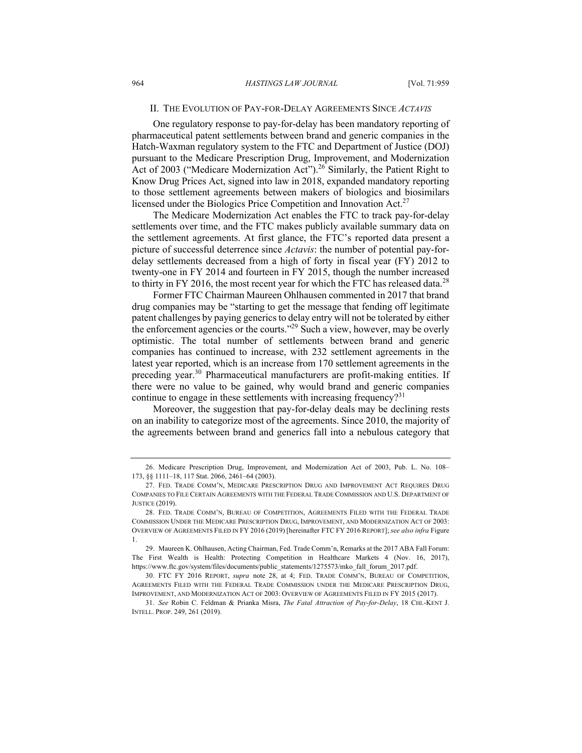#### II. THE EVOLUTION OF PAY-FOR-DELAY AGREEMENTS SINCE *ACTAVIS*

One regulatory response to pay-for-delay has been mandatory reporting of pharmaceutical patent settlements between brand and generic companies in the Hatch-Waxman regulatory system to the FTC and Department of Justice (DOJ) pursuant to the Medicare Prescription Drug, Improvement, and Modernization Act of 2003 ("Medicare Modernization Act").<sup>26</sup> Similarly, the Patient Right to Know Drug Prices Act, signed into law in 2018, expanded mandatory reporting to those settlement agreements between makers of biologics and biosimilars licensed under the Biologics Price Competition and Innovation Act. $27$ 

The Medicare Modernization Act enables the FTC to track pay-for-delay settlements over time, and the FTC makes publicly available summary data on the settlement agreements. At first glance, the FTC's reported data present a picture of successful deterrence since *Actavis*: the number of potential pay-fordelay settlements decreased from a high of forty in fiscal year (FY) 2012 to twenty-one in FY 2014 and fourteen in FY 2015, though the number increased to thirty in FY 2016, the most recent year for which the FTC has released data.<sup>28</sup>

Former FTC Chairman Maureen Ohlhausen commented in 2017 that brand drug companies may be "starting to get the message that fending off legitimate patent challenges by paying generics to delay entry will not be tolerated by either the enforcement agencies or the courts."<sup>29</sup> Such a view, however, may be overly optimistic. The total number of settlements between brand and generic companies has continued to increase, with 232 settlement agreements in the latest year reported, which is an increase from 170 settlement agreements in the preceding year.<sup>30</sup> Pharmaceutical manufacturers are profit-making entities. If there were no value to be gained, why would brand and generic companies continue to engage in these settlements with increasing frequency?<sup>31</sup>

Moreover, the suggestion that pay-for-delay deals may be declining rests on an inability to categorize most of the agreements. Since 2010, the majority of the agreements between brand and generics fall into a nebulous category that

<sup>26.</sup> Medicare Prescription Drug, Improvement, and Modernization Act of 2003, Pub. L. No. 108– 173, §§ 1111–18, 117 Stat. 2066, 2461–64 (2003).

<sup>27.</sup> FED. TRADE COMM'N, MEDICARE PRESCRIPTION DRUG AND IMPROVEMENT ACT REQUIRES DRUG COMPANIES TO FILE CERTAIN AGREEMENTS WITH THE FEDERAL TRADE COMMISSION AND U.S. DEPARTMENT OF JUSTICE (2019).

<sup>28.</sup> FED. TRADE COMM'N, BUREAU OF COMPETITION, AGREEMENTS FILED WITH THE FEDERAL TRADE COMMISSION UNDER THE MEDICARE PRESCRIPTION DRUG, IMPROVEMENT, AND MODERNIZATION ACT OF 2003: OVERVIEW OF AGREEMENTS FILED IN FY 2016 (2019) [hereinafter FTC FY 2016 REPORT]; *see also infra* Figure 1.

<sup>29.</sup> Maureen K. Ohlhausen, Acting Chairman, Fed. Trade Comm'n, Remarks at the 2017 ABA Fall Forum: The First Wealth is Health: Protecting Competition in Healthcare Markets 4 (Nov. 16, 2017), https://www.ftc.gov/system/files/documents/public\_statements/1275573/mko\_fall\_forum\_2017.pdf.

<sup>30.</sup> FTC FY 2016 REPORT, *supra* note 28, at 4; FED. TRADE COMM'N, BUREAU OF COMPETITION, AGREEMENTS FILED WITH THE FEDERAL TRADE COMMISSION UNDER THE MEDICARE PRESCRIPTION DRUG, IMPROVEMENT, AND MODERNIZATION ACT OF 2003: OVERVIEW OF AGREEMENTS FILED IN FY 2015 (2017).

<sup>31.</sup> *See* Robin C. Feldman & Prianka Misra, *The Fatal Attraction of Pay-for-Delay*, 18 CHI.-KENT J. INTELL. PROP. 249, 261 (2019).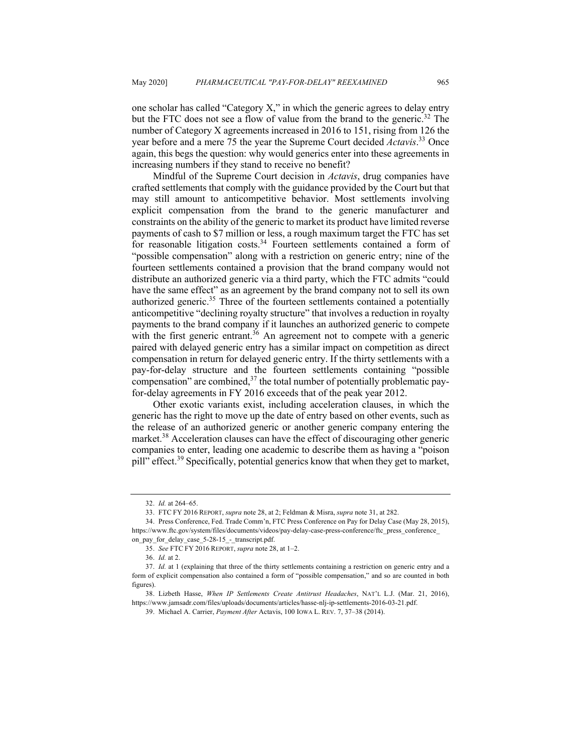one scholar has called "Category X," in which the generic agrees to delay entry but the FTC does not see a flow of value from the brand to the generic. <sup>32</sup> The number of Category X agreements increased in 2016 to 151, rising from 126 the year before and a mere 75 the year the Supreme Court decided *Actavis*. <sup>33</sup> Once again, this begs the question: why would generics enter into these agreements in increasing numbers if they stand to receive no benefit?

Mindful of the Supreme Court decision in *Actavis*, drug companies have crafted settlements that comply with the guidance provided by the Court but that may still amount to anticompetitive behavior. Most settlements involving explicit compensation from the brand to the generic manufacturer and constraints on the ability of the generic to market its product have limited reverse payments of cash to \$7 million or less, a rough maximum target the FTC has set for reasonable litigation costs.<sup>34</sup> Fourteen settlements contained a form of "possible compensation" along with a restriction on generic entry; nine of the fourteen settlements contained a provision that the brand company would not distribute an authorized generic via a third party, which the FTC admits "could have the same effect" as an agreement by the brand company not to sell its own authorized generic.<sup>35</sup> Three of the fourteen settlements contained a potentially anticompetitive "declining royalty structure" that involves a reduction in royalty payments to the brand company if it launches an authorized generic to compete with the first generic entrant.<sup>36</sup> An agreement not to compete with a generic paired with delayed generic entry has a similar impact on competition as direct compensation in return for delayed generic entry. If the thirty settlements with a pay-for-delay structure and the fourteen settlements containing "possible compensation" are combined, $37$  the total number of potentially problematic payfor-delay agreements in FY 2016 exceeds that of the peak year 2012.

Other exotic variants exist, including acceleration clauses, in which the generic has the right to move up the date of entry based on other events, such as the release of an authorized generic or another generic company entering the market.<sup>38</sup> Acceleration clauses can have the effect of discouraging other generic companies to enter, leading one academic to describe them as having a "poison pill" effect.<sup>39</sup> Specifically, potential generics know that when they get to market,

<sup>32.</sup> *Id.* at 264–65.

<sup>33.</sup> FTC FY 2016 REPORT, *supra* note 28, at 2; Feldman & Misra, *supra* note 31, at 282.

<sup>34.</sup> Press Conference, Fed. Trade Comm'n, FTC Press Conference on Pay for Delay Case (May 28, 2015), https://www.ftc.gov/system/files/documents/videos/pay-delay-case-press-conference/ftc\_press\_conference\_ on\_pay\_for\_delay\_case\_5-28-15\_-\_transcript.pdf.

<sup>35.</sup> *See* FTC FY 2016 REPORT, *supra* note 28, at 1–2.

<sup>36.</sup> *Id.* at 2.

<sup>37.</sup> *Id.* at 1 (explaining that three of the thirty settlements containing a restriction on generic entry and a form of explicit compensation also contained a form of "possible compensation," and so are counted in both figures).

<sup>38.</sup> Lizbeth Hasse, *When IP Settlements Create Antitrust Headaches*, NAT'L L.J. (Mar. 21, 2016), https://www.jamsadr.com/files/uploads/documents/articles/hasse-nlj-ip-settlements-2016-03-21.pdf.

<sup>39.</sup> Michael A. Carrier, *Payment After* Actavis, 100 IOWA L. REV. 7, 37–38 (2014).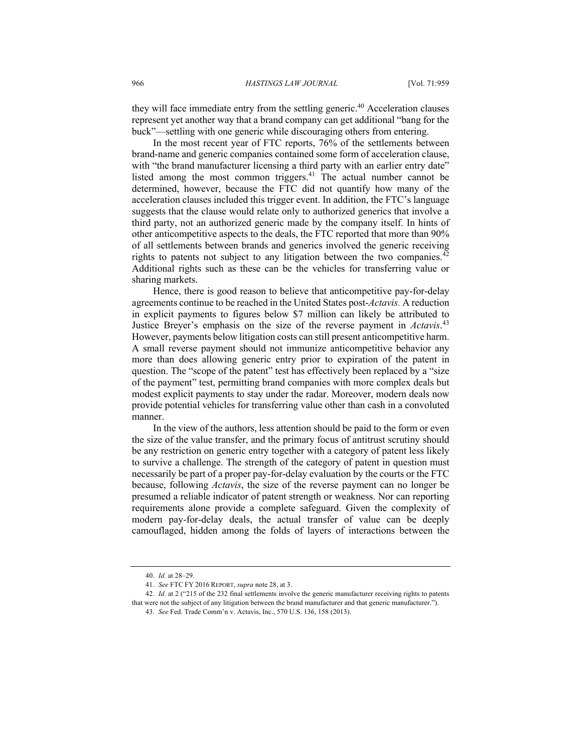they will face immediate entry from the settling generic.<sup>40</sup> Acceleration clauses represent yet another way that a brand company can get additional "bang for the buck"—settling with one generic while discouraging others from entering.

In the most recent year of FTC reports, 76% of the settlements between brand-name and generic companies contained some form of acceleration clause, with "the brand manufacturer licensing a third party with an earlier entry date" listed among the most common triggers.<sup>41</sup> The actual number cannot be determined, however, because the FTC did not quantify how many of the acceleration clauses included this trigger event. In addition, the FTC's language suggests that the clause would relate only to authorized generics that involve a third party, not an authorized generic made by the company itself. In hints of other anticompetitive aspects to the deals, the FTC reported that more than 90% of all settlements between brands and generics involved the generic receiving rights to patents not subject to any litigation between the two companies.<sup>42</sup> Additional rights such as these can be the vehicles for transferring value or sharing markets.

Hence, there is good reason to believe that anticompetitive pay-for-delay agreements continue to be reached in the United States post-*Actavis.* A reduction in explicit payments to figures below \$7 million can likely be attributed to Justice Breyer's emphasis on the size of the reverse payment in *Actavis*. 43 However, payments below litigation costs can still present anticompetitive harm. A small reverse payment should not immunize anticompetitive behavior any more than does allowing generic entry prior to expiration of the patent in question. The "scope of the patent" test has effectively been replaced by a "size of the payment" test, permitting brand companies with more complex deals but modest explicit payments to stay under the radar. Moreover, modern deals now provide potential vehicles for transferring value other than cash in a convoluted manner.

In the view of the authors, less attention should be paid to the form or even the size of the value transfer, and the primary focus of antitrust scrutiny should be any restriction on generic entry together with a category of patent less likely to survive a challenge. The strength of the category of patent in question must necessarily be part of a proper pay-for-delay evaluation by the courts or the FTC because, following *Actavis*, the size of the reverse payment can no longer be presumed a reliable indicator of patent strength or weakness. Nor can reporting requirements alone provide a complete safeguard. Given the complexity of modern pay-for-delay deals, the actual transfer of value can be deeply camouflaged, hidden among the folds of layers of interactions between the

<sup>40.</sup> *Id.* at 28–29.

<sup>41.</sup> *See* FTC FY 2016 REPORT, *supra* note 28, at 3.

<sup>42.</sup> *Id.* at 2 ("215 of the 232 final settlements involve the generic manufacturer receiving rights to patents that were not the subject of any litigation between the brand manufacturer and that generic manufacturer.").

<sup>43.</sup> *See* Fed. Trade Comm'n v. Actavis, Inc., 570 U.S. 136, 158 (2013).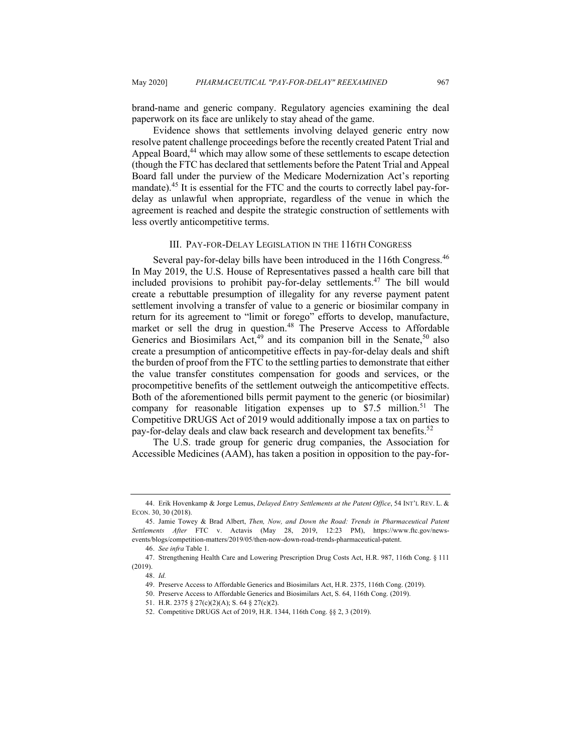brand-name and generic company. Regulatory agencies examining the deal paperwork on its face are unlikely to stay ahead of the game.

Evidence shows that settlements involving delayed generic entry now resolve patent challenge proceedings before the recently created Patent Trial and Appeal Board,<sup>44</sup> which may allow some of these settlements to escape detection (though the FTC has declared that settlements before the Patent Trial and Appeal Board fall under the purview of the Medicare Modernization Act's reporting mandate).<sup>45</sup> It is essential for the FTC and the courts to correctly label pay-fordelay as unlawful when appropriate, regardless of the venue in which the agreement is reached and despite the strategic construction of settlements with less overtly anticompetitive terms.

#### III. PAY-FOR-DELAY LEGISLATION IN THE 116TH CONGRESS

Several pay-for-delay bills have been introduced in the 116th Congress.<sup>46</sup> In May 2019, the U.S. House of Representatives passed a health care bill that included provisions to prohibit pay-for-delay settlements.<sup>47</sup> The bill would create a rebuttable presumption of illegality for any reverse payment patent settlement involving a transfer of value to a generic or biosimilar company in return for its agreement to "limit or forego" efforts to develop, manufacture, market or sell the drug in question.<sup>48</sup> The Preserve Access to Affordable Generics and Biosimilars Act, $49$  and its companion bill in the Senate,  $50$  also create a presumption of anticompetitive effects in pay-for-delay deals and shift the burden of proof from the FTC to the settling parties to demonstrate that either the value transfer constitutes compensation for goods and services, or the procompetitive benefits of the settlement outweigh the anticompetitive effects. Both of the aforementioned bills permit payment to the generic (or biosimilar) company for reasonable litigation expenses up to  $$7.5$  million.<sup>51</sup> The Competitive DRUGS Act of 2019 would additionally impose a tax on parties to pay-for-delay deals and claw back research and development tax benefits.<sup>52</sup>

The U.S. trade group for generic drug companies, the Association for Accessible Medicines (AAM), has taken a position in opposition to the pay-for-

<sup>44.</sup> Erik Hovenkamp & Jorge Lemus, *Delayed Entry Settlements at the Patent Office*, 54 INT'L REV. L. & ECON. 30, 30 (2018).

<sup>45.</sup> Jamie Towey & Brad Albert, *Then, Now, and Down the Road: Trends in Pharmaceutical Patent Settlements After* FTC v. Actavis (May 28, 2019, 12:23 PM), https://www.ftc.gov/newsevents/blogs/competition-matters/2019/05/then-now-down-road-trends-pharmaceutical-patent.

<sup>46.</sup> *See infra* Table 1.

<sup>47.</sup> Strengthening Health Care and Lowering Prescription Drug Costs Act, H.R. 987, 116th Cong. § 111 (2019).

<sup>48.</sup> *Id.*

<sup>49.</sup> Preserve Access to Affordable Generics and Biosimilars Act, H.R. 2375, 116th Cong. (2019).

<sup>50.</sup> Preserve Access to Affordable Generics and Biosimilars Act, S. 64, 116th Cong. (2019).

<sup>51.</sup> H.R. 2375 § 27(c)(2)(A); S. 64 § 27(c)(2).

<sup>52.</sup> Competitive DRUGS Act of 2019, H.R. 1344, 116th Cong. §§ 2, 3 (2019).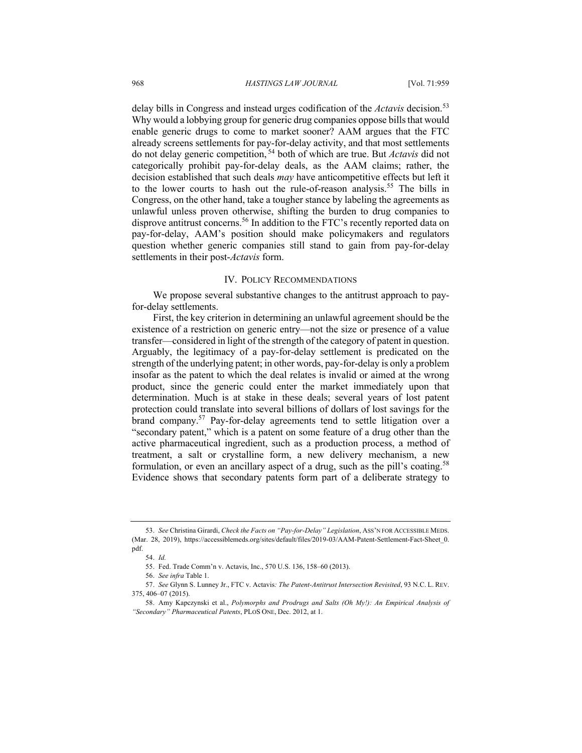delay bills in Congress and instead urges codification of the *Actavis* decision.<sup>53</sup> Why would a lobbying group for generic drug companies oppose bills that would enable generic drugs to come to market sooner? AAM argues that the FTC already screens settlements for pay-for-delay activity, and that most settlements do not delay generic competition, <sup>54</sup> both of which are true. But *Actavis* did not categorically prohibit pay-for-delay deals, as the AAM claims; rather, the decision established that such deals *may* have anticompetitive effects but left it to the lower courts to hash out the rule-of-reason analysis.<sup>55</sup> The bills in Congress, on the other hand, take a tougher stance by labeling the agreements as unlawful unless proven otherwise, shifting the burden to drug companies to disprove antitrust concerns.<sup>56</sup> In addition to the FTC's recently reported data on pay-for-delay, AAM's position should make policymakers and regulators question whether generic companies still stand to gain from pay-for-delay settlements in their post-*Actavis* form.

#### IV. POLICY RECOMMENDATIONS

We propose several substantive changes to the antitrust approach to payfor-delay settlements.

First, the key criterion in determining an unlawful agreement should be the existence of a restriction on generic entry—not the size or presence of a value transfer—considered in light of the strength of the category of patent in question. Arguably, the legitimacy of a pay-for-delay settlement is predicated on the strength of the underlying patent; in other words, pay-for-delay is only a problem insofar as the patent to which the deal relates is invalid or aimed at the wrong product, since the generic could enter the market immediately upon that determination. Much is at stake in these deals; several years of lost patent protection could translate into several billions of dollars of lost savings for the brand company.<sup>57</sup> Pay-for-delay agreements tend to settle litigation over a "secondary patent," which is a patent on some feature of a drug other than the active pharmaceutical ingredient, such as a production process, a method of treatment, a salt or crystalline form, a new delivery mechanism, a new formulation, or even an ancillary aspect of a drug, such as the pill's coating.<sup>58</sup> Evidence shows that secondary patents form part of a deliberate strategy to

<sup>53.</sup> *See* Christina Girardi, *Check the Facts on "Pay-for-Delay" Legislation*, ASS'N FOR ACCESSIBLE MEDS. (Mar. 28, 2019), https://accessiblemeds.org/sites/default/files/2019-03/AAM-Patent-Settlement-Fact-Sheet\_0. pdf.

<sup>54.</sup> *Id.*

<sup>55.</sup> Fed. Trade Comm'n v. Actavis, Inc., 570 U.S. 136, 158–60 (2013).

<sup>56.</sup> *See infra* Table 1.

<sup>57.</sup> *See* Glynn S. Lunney Jr., FTC v. Actavis*: The Patent-Antitrust Intersection Revisited*, 93 N.C. L. REV. 375, 406–07 (2015).

<sup>58.</sup> Amy Kapczynski et al., *Polymorphs and Prodrugs and Salts (Oh My!): An Empirical Analysis of "Secondary" Pharmaceutical Patents*, PLOS ONE, Dec. 2012, at 1.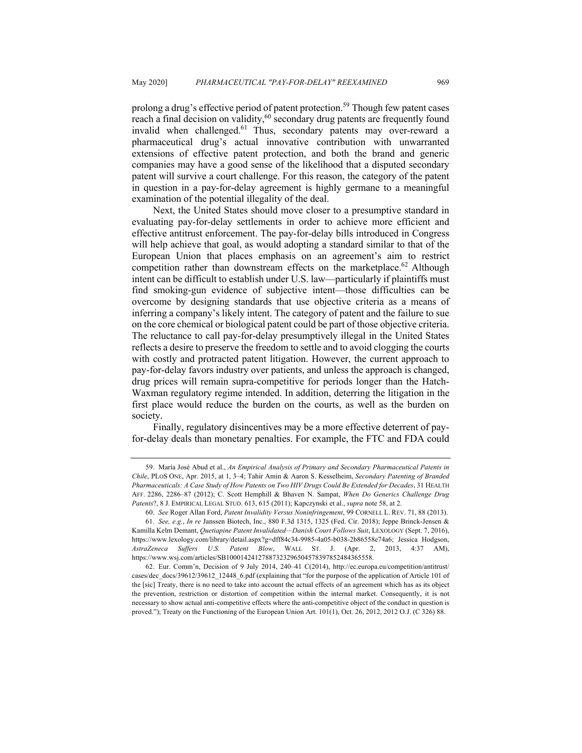prolong a drug's effective period of patent protection.<sup>59</sup> Though few patent cases reach a final decision on validity,<sup>60</sup> secondary drug patents are frequently found invalid when challenged.<sup>61</sup> Thus, secondary patents may over-reward a pharmaceutical drug's actual innovative contribution with unwarranted extensions of effective patent protection, and both the brand and generic companies may have a good sense of the likelihood that a disputed secondary patent will survive a court challenge. For this reason, the category of the patent in question in a pay-for-delay agreement is highly germane to a meaningful examination of the potential illegality of the deal.

Next, the United States should move closer to a presumptive standard in evaluating pay-for-delay settlements in order to achieve more efficient and effective antitrust enforcement. The pay-for-delay bills introduced in Congress will help achieve that goal, as would adopting a standard similar to that of the European Union that places emphasis on an agreement's aim to restrict competition rather than downstream effects on the marketplace.<sup>62</sup> Although intent can be difficult to establish under U.S. law—particularly if plaintiffs must find smoking-gun evidence of subjective intent—those difficulties can be overcome by designing standards that use objective criteria as a means of inferring a company's likely intent. The category of patent and the failure to sue on the core chemical or biological patent could be part of those objective criteria. The reluctance to call pay-for-delay presumptively illegal in the United States reflects a desire to preserve the freedom to settle and to avoid clogging the courts with costly and protracted patent litigation. However, the current approach to pay-for-delay favors industry over patients, and unless the approach is changed, drug prices will remain supra-competitive for periods longer than the Hatch-Waxman regulatory regime intended. In addition, deterring the litigation in the first place would reduce the burden on the courts, as well as the burden on society.

Finally, regulatory disincentives may be a more effective deterrent of payfor-delay deals than monetary penalties. For example, the FTC and FDA could

<sup>59.</sup> María José Abud et al., *An Empirical Analysis of Primary and Secondary Pharmaceutical Patents in Chile*, PLOS ONE, Apr. 2015, at 1, 3–4; Tahir Amin & Aaron S. Kesselheim, *Secondary Patenting of Branded Pharmaceuticals: A Case Study of How Patents on Two HIV Drugs Could Be Extended for Decades*, 31 HEALTH AFF. 2286, 2286–87 (2012); C. Scott Hemphill & Bhaven N. Sampat, *When Do Generics Challenge Drug Patents*?, 8 J. EMPIRICAL LEGAL STUD. 613, 615 (2011); Kapczynski et al., *supra* note 58, at 2.

<sup>60.</sup> *See* Roger Allan Ford, *Patent Invalidity Versus Noninfringement*, 99 CORNELL L. REV. 71, 88 (2013). 61. *See, e.g.*, *In re* Janssen Biotech, Inc., 880 F.3d 1315, 1325 (Fed. Cir. 2018); Jeppe Brinck-Jensen & Kamilla Kelm Demant, *Quetiapine Patent Invalidated—Danish Court Follows Suit*, LEXOLOGY (Sept. 7, 2016), https://www.lexology.com/library/detail.aspx?g=dff84c34-9985-4a05-b038-2b86558e74a6; Jessica Hodgson, *AstraZeneca Suffers U.S. Patent Blow*, WALL ST. J. (Apr. 2, 2013, 4:37 AM), https://www.wsj.com/articles/SB10001424127887323296504578397852484365558.

<sup>62.</sup> Eur. Comm'n, Decision of 9 July 2014, 240–41 C(2014), http://ec.europa.eu/competition/antitrust/ cases/dec\_docs/39612/39612\_12448\_6.pdf (explaining that "for the purpose of the application of Article 101 of the [sic] Treaty, there is no need to take into account the actual effects of an agreement which has as its object the prevention, restriction or distortion of competition within the internal market. Consequently, it is not necessary to show actual anti-competitive effects where the anti-competitive object of the conduct in question is proved."); Treaty on the Functioning of the European Union Art. 101(1), Oct. 26, 2012, 2012 O.J. (C 326) 88.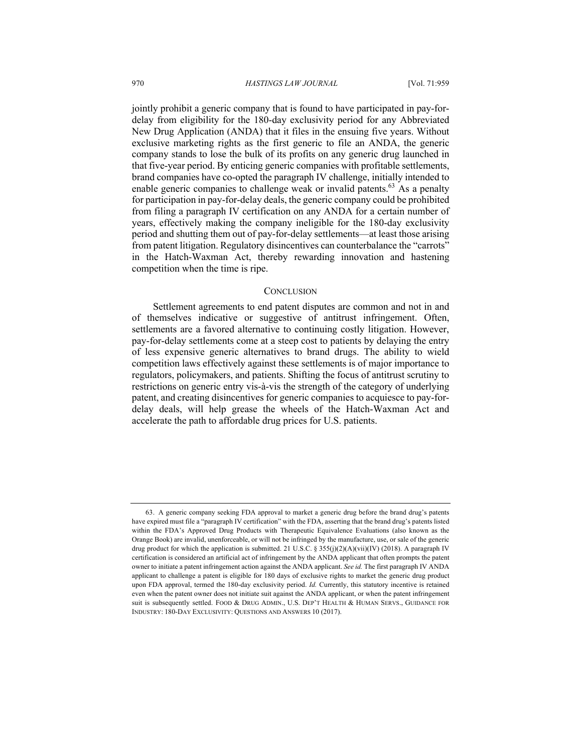jointly prohibit a generic company that is found to have participated in pay-fordelay from eligibility for the 180-day exclusivity period for any Abbreviated New Drug Application (ANDA) that it files in the ensuing five years. Without exclusive marketing rights as the first generic to file an ANDA, the generic company stands to lose the bulk of its profits on any generic drug launched in that five-year period. By enticing generic companies with profitable settlements, brand companies have co-opted the paragraph IV challenge, initially intended to enable generic companies to challenge weak or invalid patents.<sup>63</sup> As a penalty for participation in pay-for-delay deals, the generic company could be prohibited from filing a paragraph IV certification on any ANDA for a certain number of years, effectively making the company ineligible for the 180-day exclusivity period and shutting them out of pay-for-delay settlements—at least those arising from patent litigation. Regulatory disincentives can counterbalance the "carrots" in the Hatch-Waxman Act, thereby rewarding innovation and hastening competition when the time is ripe.

#### **CONCLUSION**

Settlement agreements to end patent disputes are common and not in and of themselves indicative or suggestive of antitrust infringement. Often, settlements are a favored alternative to continuing costly litigation. However, pay-for-delay settlements come at a steep cost to patients by delaying the entry of less expensive generic alternatives to brand drugs. The ability to wield competition laws effectively against these settlements is of major importance to regulators, policymakers, and patients. Shifting the focus of antitrust scrutiny to restrictions on generic entry vis-à-vis the strength of the category of underlying patent, and creating disincentives for generic companies to acquiesce to pay-fordelay deals, will help grease the wheels of the Hatch-Waxman Act and accelerate the path to affordable drug prices for U.S. patients.

<sup>63.</sup> A generic company seeking FDA approval to market a generic drug before the brand drug's patents have expired must file a "paragraph IV certification" with the FDA, asserting that the brand drug's patents listed within the FDA's Approved Drug Products with Therapeutic Equivalence Evaluations (also known as the Orange Book) are invalid, unenforceable, or will not be infringed by the manufacture, use, or sale of the generic drug product for which the application is submitted. 21 U.S.C. § 355(j)(2)(A)(vii)(IV) (2018). A paragraph IV certification is considered an artificial act of infringement by the ANDA applicant that often prompts the patent owner to initiate a patent infringement action against the ANDA applicant. *See id.* The first paragraph IV ANDA applicant to challenge a patent is eligible for 180 days of exclusive rights to market the generic drug product upon FDA approval, termed the 180-day exclusivity period. *Id.* Currently, this statutory incentive is retained even when the patent owner does not initiate suit against the ANDA applicant, or when the patent infringement suit is subsequently settled. FOOD & DRUG ADMIN., U.S. DEP'T HEALTH & HUMAN SERVS., GUIDANCE FOR INDUSTRY: 180-DAY EXCLUSIVITY: QUESTIONS AND ANSWERS 10 (2017).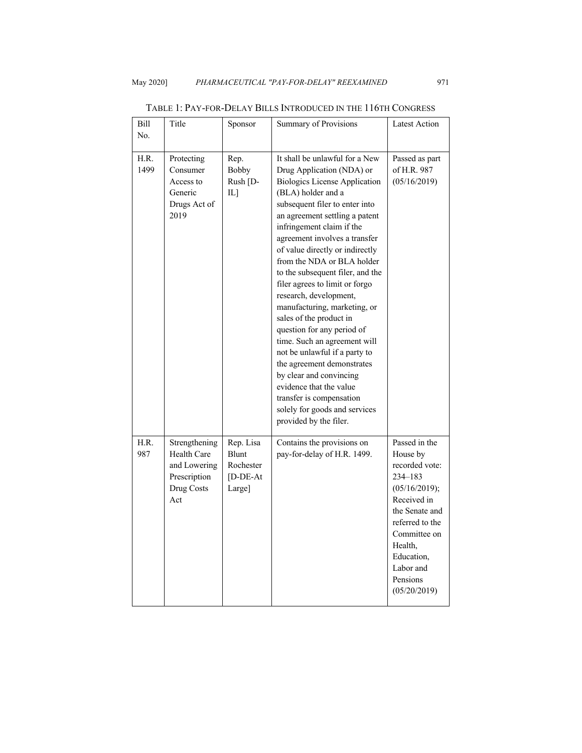| Bill<br>No.  | Title                                                                                    | Sponsor                                                  | Summary of Provisions                                                                                                                                                                                                                                                                                                                                                                                                                                                                                                                                                                                                                                                                                                                                             | <b>Latest Action</b>                                                                                                                                                                                          |
|--------------|------------------------------------------------------------------------------------------|----------------------------------------------------------|-------------------------------------------------------------------------------------------------------------------------------------------------------------------------------------------------------------------------------------------------------------------------------------------------------------------------------------------------------------------------------------------------------------------------------------------------------------------------------------------------------------------------------------------------------------------------------------------------------------------------------------------------------------------------------------------------------------------------------------------------------------------|---------------------------------------------------------------------------------------------------------------------------------------------------------------------------------------------------------------|
|              |                                                                                          |                                                          |                                                                                                                                                                                                                                                                                                                                                                                                                                                                                                                                                                                                                                                                                                                                                                   |                                                                                                                                                                                                               |
| H.R.<br>1499 | Protecting<br>Consumer<br>Access to<br>Generic<br>Drugs Act of<br>2019                   | Rep.<br><b>Bobby</b><br>Rush [D-<br>IL]                  | It shall be unlawful for a New<br>Drug Application (NDA) or<br><b>Biologics License Application</b><br>(BLA) holder and a<br>subsequent filer to enter into<br>an agreement settling a patent<br>infringement claim if the<br>agreement involves a transfer<br>of value directly or indirectly<br>from the NDA or BLA holder<br>to the subsequent filer, and the<br>filer agrees to limit or forgo<br>research, development,<br>manufacturing, marketing, or<br>sales of the product in<br>question for any period of<br>time. Such an agreement will<br>not be unlawful if a party to<br>the agreement demonstrates<br>by clear and convincing<br>evidence that the value<br>transfer is compensation<br>solely for goods and services<br>provided by the filer. | Passed as part<br>of H.R. 987<br>(05/16/2019)                                                                                                                                                                 |
| H.R.<br>987  | Strengthening<br><b>Health Care</b><br>and Lowering<br>Prescription<br>Drug Costs<br>Act | Rep. Lisa<br>Blunt<br>Rochester<br>$[D-DE-At]$<br>Large] | Contains the provisions on<br>pay-for-delay of H.R. 1499.                                                                                                                                                                                                                                                                                                                                                                                                                                                                                                                                                                                                                                                                                                         | Passed in the<br>House by<br>recorded vote:<br>234-183<br>(05/16/2019);<br>Received in<br>the Senate and<br>referred to the<br>Committee on<br>Health,<br>Education,<br>Labor and<br>Pensions<br>(05/20/2019) |

TABLE 1: PAY-FOR-DELAY BILLS INTRODUCED IN THE 116TH CONGRESS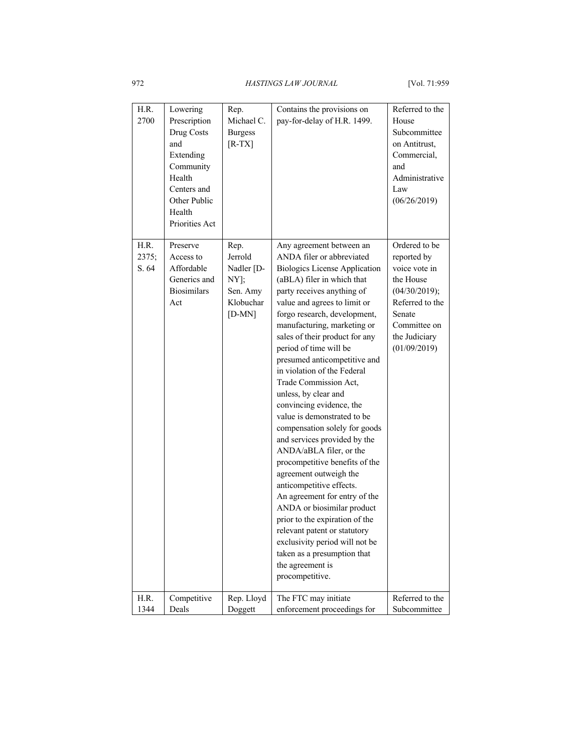| H.R.<br>2700           | Lowering<br>Prescription<br>Drug Costs<br>and<br>Extending<br>Community<br>Health<br>Centers and<br>Other Public<br>Health<br>Priorities Act | Rep.<br>Michael C.<br><b>Burgess</b><br>$[R-TX]$                           | Contains the provisions on<br>pay-for-delay of H.R. 1499.                                                                                                                                                                                                                                                                                                                                                                                                                                                                                                                                                                                                                                                                                                                                                                                                                                                                    | Referred to the<br>House<br>Subcommittee<br>on Antitrust,<br>Commercial,<br>and<br>Administrative<br>Law<br>(06/26/2019)                                  |
|------------------------|----------------------------------------------------------------------------------------------------------------------------------------------|----------------------------------------------------------------------------|------------------------------------------------------------------------------------------------------------------------------------------------------------------------------------------------------------------------------------------------------------------------------------------------------------------------------------------------------------------------------------------------------------------------------------------------------------------------------------------------------------------------------------------------------------------------------------------------------------------------------------------------------------------------------------------------------------------------------------------------------------------------------------------------------------------------------------------------------------------------------------------------------------------------------|-----------------------------------------------------------------------------------------------------------------------------------------------------------|
| H.R.<br>2375;<br>S. 64 | Preserve<br>Access to<br>Affordable<br>Generics and<br><b>Biosimilars</b><br>Act                                                             | Rep.<br>Jerrold<br>Nadler [D-<br>NY];<br>Sen. Amy<br>Klobuchar<br>$[D-MN]$ | Any agreement between an<br>ANDA filer or abbreviated<br><b>Biologics License Application</b><br>(aBLA) filer in which that<br>party receives anything of<br>value and agrees to limit or<br>forgo research, development,<br>manufacturing, marketing or<br>sales of their product for any<br>period of time will be<br>presumed anticompetitive and<br>in violation of the Federal<br>Trade Commission Act,<br>unless, by clear and<br>convincing evidence, the<br>value is demonstrated to be<br>compensation solely for goods<br>and services provided by the<br>ANDA/aBLA filer, or the<br>procompetitive benefits of the<br>agreement outweigh the<br>anticompetitive effects.<br>An agreement for entry of the<br>ANDA or biosimilar product<br>prior to the expiration of the<br>relevant patent or statutory<br>exclusivity period will not be<br>taken as a presumption that<br>the agreement is<br>procompetitive. | Ordered to be<br>reported by<br>voice vote in<br>the House<br>(04/30/2019);<br>Referred to the<br>Senate<br>Committee on<br>the Judiciary<br>(01/09/2019) |
| H.R.                   | Competitive                                                                                                                                  | Rep. Lloyd                                                                 | The FTC may initiate                                                                                                                                                                                                                                                                                                                                                                                                                                                                                                                                                                                                                                                                                                                                                                                                                                                                                                         | Referred to the                                                                                                                                           |
| 1344                   | Deals                                                                                                                                        | Doggett                                                                    | enforcement proceedings for                                                                                                                                                                                                                                                                                                                                                                                                                                                                                                                                                                                                                                                                                                                                                                                                                                                                                                  | Subcommittee                                                                                                                                              |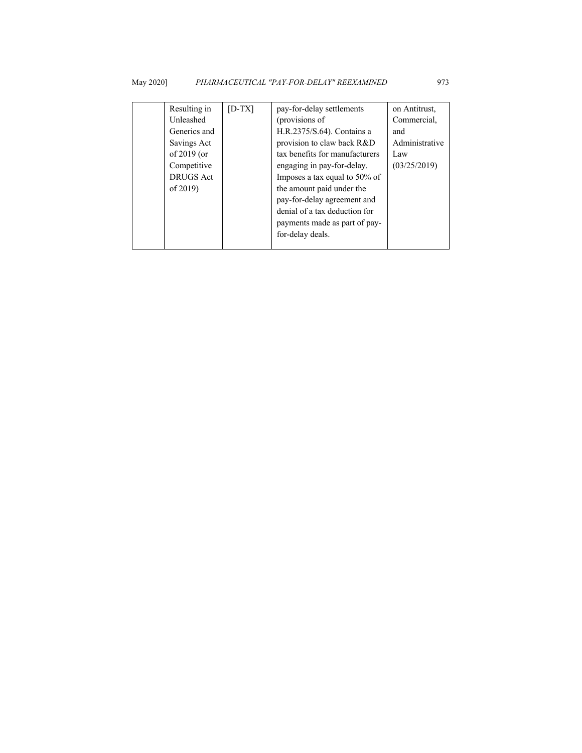| Resulting in     | $[D-TX]$ | pay-for-delay settlements      | on Antitrust,  |
|------------------|----------|--------------------------------|----------------|
| Unleashed        |          | (provisions of                 | Commercial,    |
| Generics and     |          | H.R.2375/S.64). Contains a     | and            |
| Savings Act      |          | provision to claw back R&D     | Administrative |
| of $2019$ (or    |          | tax benefits for manufacturers | Law            |
| Competitive      |          | engaging in pay-for-delay.     | (03/25/2019)   |
| <b>DRUGS</b> Act |          | Imposes a tax equal to 50% of  |                |
| of $2019$ )      |          | the amount paid under the      |                |
|                  |          | pay-for-delay agreement and    |                |
|                  |          | denial of a tax deduction for  |                |
|                  |          | payments made as part of pay-  |                |
|                  |          | for-delay deals.               |                |
|                  |          |                                |                |